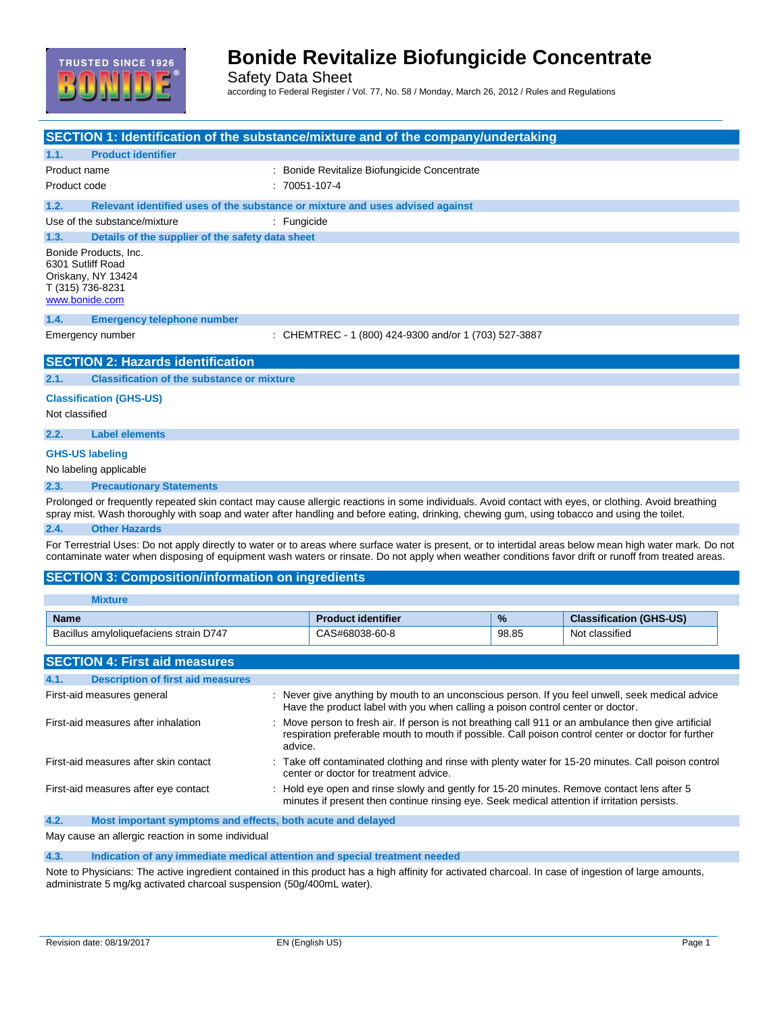

Safety Data Sheet according to Federal Register / Vol. 77, No. 58 / Monday, March 26, 2012 / Rules and Regulations

|                                                                                                        | SECTION 1: Identification of the substance/mixture and of the company/undertaking |
|--------------------------------------------------------------------------------------------------------|-----------------------------------------------------------------------------------|
| 1.1.<br><b>Product identifier</b>                                                                      |                                                                                   |
| Product name                                                                                           | : Bonide Revitalize Biofungicide Concentrate                                      |
| Product code                                                                                           | $: 70051 - 107 - 4$                                                               |
| 1.2.                                                                                                   | Relevant identified uses of the substance or mixture and uses advised against     |
| Use of the substance/mixture                                                                           | : Fungicide                                                                       |
| 1.3.<br>Details of the supplier of the safety data sheet                                               |                                                                                   |
| Bonide Products, Inc.<br>6301 Sutliff Road<br>Oriskany, NY 13424<br>T (315) 736-8231<br>www.bonide.com |                                                                                   |
| 1.4.<br><b>Emergency telephone number</b>                                                              |                                                                                   |
| Emergency number                                                                                       | : CHEMTREC - 1 (800) 424-9300 and/or 1 (703) 527-3887                             |
| <b>SECTION 2: Hazards identification</b>                                                               |                                                                                   |
| <b>Classification of the substance or mixture</b><br>2.1.                                              |                                                                                   |
| <b>Classification (GHS-US)</b><br>Not classified                                                       |                                                                                   |
| <b>Label elements</b><br>2.2.                                                                          |                                                                                   |
| <b>GHS-US labeling</b><br>No labeling applicable                                                       |                                                                                   |
| 2.3.<br><b>Precautionary Statements</b>                                                                |                                                                                   |

Prolonged or frequently repeated skin contact may cause allergic reactions in some individuals. Avoid contact with eyes, or clothing. Avoid breathing spray mist. Wash thoroughly with soap and water after handling and before eating, drinking, chewing gum, using tobacco and using the toilet. **2.4. Other Hazards**

For Terrestrial Uses: Do not apply directly to water or to areas where surface water is present, or to intertidal areas below mean high water mark. Do not contaminate water when disposing of equipment wash waters or rinsate. Do not apply when weather conditions favor drift or runoff from treated areas.

#### **SECTION 3: Composition/information on ingredients**

| <b>Mixture</b>                                                      |                                                                                                                                                                                                                      |               |                                |
|---------------------------------------------------------------------|----------------------------------------------------------------------------------------------------------------------------------------------------------------------------------------------------------------------|---------------|--------------------------------|
| <b>Name</b>                                                         | <b>Product identifier</b>                                                                                                                                                                                            | $\frac{9}{6}$ | <b>Classification (GHS-US)</b> |
| Bacillus amyloliquefaciens strain D747                              | CAS#68038-60-8                                                                                                                                                                                                       | 98.85         | Not classified                 |
| <b>SECTION 4: First aid measures</b>                                |                                                                                                                                                                                                                      |               |                                |
|                                                                     |                                                                                                                                                                                                                      |               |                                |
| <b>Description of first aid measures</b><br>4.1.                    |                                                                                                                                                                                                                      |               |                                |
| First-aid measures general                                          | : Never give anything by mouth to an unconscious person. If you feel unwell, seek medical advice<br>Have the product label with you when calling a poison control center or doctor.                                  |               |                                |
| First-aid measures after inhalation                                 | Move person to fresh air. If person is not breathing call 911 or an ambulance then give artificial<br>respiration preferable mouth to mouth if possible. Call poison control center or doctor for further<br>advice. |               |                                |
| First-aid measures after skin contact                               | : Take off contaminated clothing and rinse with plenty water for 15-20 minutes. Call poison control<br>center or doctor for treatment advice.                                                                        |               |                                |
| First-aid measures after eye contact                                | : Hold eye open and rinse slowly and gently for 15-20 minutes. Remove contact lens after 5<br>minutes if present then continue rinsing eye. Seek medical attention if irritation persists.                           |               |                                |
| 4.2.<br>Most important symptoms and effects, both acute and delayed |                                                                                                                                                                                                                      |               |                                |

May cause an allergic reaction in some individual

**4.3. Indication of any immediate medical attention and special treatment needed**

Note to Physicians: The active ingredient contained in this product has a high affinity for activated charcoal. In case of ingestion of large amounts, administrate 5 mg/kg activated charcoal suspension (50g/400mL water).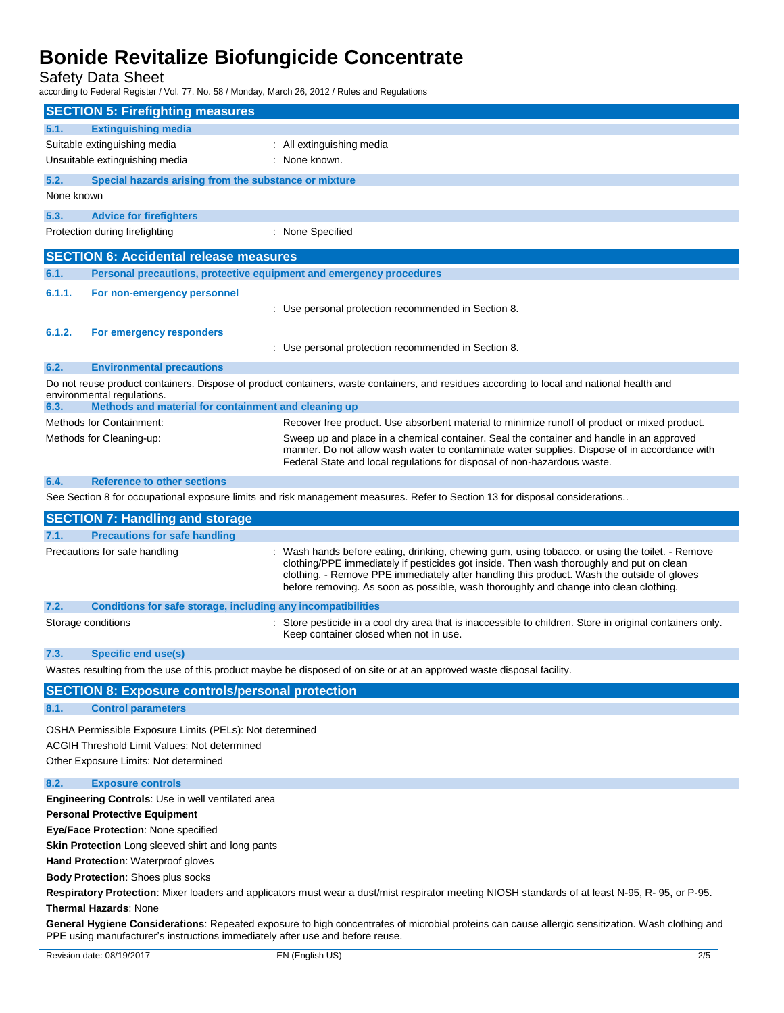Safety Data Sheet

according to Federal Register / Vol. 77, No. 58 / Monday, March 26, 2012 / Rules and Regulations

|                                                                                                                                                                                                                                   | <b>SECTION 5: Firefighting measures</b>                                               |                                                                                                                                                                                                                                                                                                                                                                                    |
|-----------------------------------------------------------------------------------------------------------------------------------------------------------------------------------------------------------------------------------|---------------------------------------------------------------------------------------|------------------------------------------------------------------------------------------------------------------------------------------------------------------------------------------------------------------------------------------------------------------------------------------------------------------------------------------------------------------------------------|
| 5.1.                                                                                                                                                                                                                              | <b>Extinguishing media</b>                                                            |                                                                                                                                                                                                                                                                                                                                                                                    |
|                                                                                                                                                                                                                                   | Suitable extinguishing media                                                          | : All extinguishing media                                                                                                                                                                                                                                                                                                                                                          |
|                                                                                                                                                                                                                                   | Unsuitable extinguishing media                                                        | : None known.                                                                                                                                                                                                                                                                                                                                                                      |
| 5.2.                                                                                                                                                                                                                              | Special hazards arising from the substance or mixture                                 |                                                                                                                                                                                                                                                                                                                                                                                    |
| None known                                                                                                                                                                                                                        |                                                                                       |                                                                                                                                                                                                                                                                                                                                                                                    |
|                                                                                                                                                                                                                                   |                                                                                       |                                                                                                                                                                                                                                                                                                                                                                                    |
| 5.3.                                                                                                                                                                                                                              | <b>Advice for firefighters</b>                                                        |                                                                                                                                                                                                                                                                                                                                                                                    |
|                                                                                                                                                                                                                                   | Protection during firefighting                                                        | : None Specified                                                                                                                                                                                                                                                                                                                                                                   |
|                                                                                                                                                                                                                                   | <b>SECTION 6: Accidental release measures</b>                                         |                                                                                                                                                                                                                                                                                                                                                                                    |
| 6.1.                                                                                                                                                                                                                              | Personal precautions, protective equipment and emergency procedures                   |                                                                                                                                                                                                                                                                                                                                                                                    |
| 6.1.1.                                                                                                                                                                                                                            | For non-emergency personnel                                                           |                                                                                                                                                                                                                                                                                                                                                                                    |
|                                                                                                                                                                                                                                   |                                                                                       | : Use personal protection recommended in Section 8.                                                                                                                                                                                                                                                                                                                                |
| 6.1.2.                                                                                                                                                                                                                            | For emergency responders                                                              |                                                                                                                                                                                                                                                                                                                                                                                    |
|                                                                                                                                                                                                                                   |                                                                                       | : Use personal protection recommended in Section 8.                                                                                                                                                                                                                                                                                                                                |
| 6.2.                                                                                                                                                                                                                              | <b>Environmental precautions</b>                                                      |                                                                                                                                                                                                                                                                                                                                                                                    |
|                                                                                                                                                                                                                                   | environmental regulations.                                                            | Do not reuse product containers. Dispose of product containers, waste containers, and residues according to local and national health and                                                                                                                                                                                                                                          |
| 6.3.                                                                                                                                                                                                                              | Methods and material for containment and cleaning up                                  |                                                                                                                                                                                                                                                                                                                                                                                    |
|                                                                                                                                                                                                                                   | <b>Methods for Containment:</b>                                                       | Recover free product. Use absorbent material to minimize runoff of product or mixed product.                                                                                                                                                                                                                                                                                       |
|                                                                                                                                                                                                                                   | Methods for Cleaning-up:                                                              | Sweep up and place in a chemical container. Seal the container and handle in an approved<br>manner. Do not allow wash water to contaminate water supplies. Dispose of in accordance with<br>Federal State and local regulations for disposal of non-hazardous waste.                                                                                                               |
| 6.4.                                                                                                                                                                                                                              | <b>Reference to other sections</b>                                                    |                                                                                                                                                                                                                                                                                                                                                                                    |
|                                                                                                                                                                                                                                   |                                                                                       | See Section 8 for occupational exposure limits and risk management measures. Refer to Section 13 for disposal considerations                                                                                                                                                                                                                                                       |
|                                                                                                                                                                                                                                   | <b>SECTION 7: Handling and storage</b>                                                |                                                                                                                                                                                                                                                                                                                                                                                    |
| 7.1.                                                                                                                                                                                                                              | <b>Precautions for safe handling</b>                                                  |                                                                                                                                                                                                                                                                                                                                                                                    |
|                                                                                                                                                                                                                                   | Precautions for safe handling                                                         | : Wash hands before eating, drinking, chewing gum, using tobacco, or using the toilet. - Remove<br>clothing/PPE immediately if pesticides got inside. Then wash thoroughly and put on clean<br>clothing. - Remove PPE immediately after handling this product. Wash the outside of gloves<br>before removing. As soon as possible, wash thoroughly and change into clean clothing. |
| 7.2.                                                                                                                                                                                                                              | Conditions for safe storage, including any incompatibilities                          |                                                                                                                                                                                                                                                                                                                                                                                    |
|                                                                                                                                                                                                                                   | Storage conditions                                                                    | : Store pesticide in a cool dry area that is inaccessible to children. Store in original containers only.<br>Keep container closed when not in use.                                                                                                                                                                                                                                |
| 7.3.                                                                                                                                                                                                                              | Specific end use(s)                                                                   |                                                                                                                                                                                                                                                                                                                                                                                    |
|                                                                                                                                                                                                                                   |                                                                                       | Wastes resulting from the use of this product maybe be disposed of on site or at an approved waste disposal facility.                                                                                                                                                                                                                                                              |
|                                                                                                                                                                                                                                   | <b>SECTION 8: Exposure controls/personal protection</b>                               |                                                                                                                                                                                                                                                                                                                                                                                    |
| 8.1.                                                                                                                                                                                                                              | <b>Control parameters</b>                                                             |                                                                                                                                                                                                                                                                                                                                                                                    |
|                                                                                                                                                                                                                                   |                                                                                       |                                                                                                                                                                                                                                                                                                                                                                                    |
| OSHA Permissible Exposure Limits (PELs): Not determined                                                                                                                                                                           |                                                                                       |                                                                                                                                                                                                                                                                                                                                                                                    |
|                                                                                                                                                                                                                                   | ACGIH Threshold Limit Values: Not determined<br>Other Exposure Limits: Not determined |                                                                                                                                                                                                                                                                                                                                                                                    |
| 8.2.                                                                                                                                                                                                                              | <b>Exposure controls</b>                                                              |                                                                                                                                                                                                                                                                                                                                                                                    |
|                                                                                                                                                                                                                                   | <b>Engineering Controls: Use in well ventilated area</b>                              |                                                                                                                                                                                                                                                                                                                                                                                    |
|                                                                                                                                                                                                                                   | <b>Personal Protective Equipment</b>                                                  |                                                                                                                                                                                                                                                                                                                                                                                    |
| Eye/Face Protection: None specified                                                                                                                                                                                               |                                                                                       |                                                                                                                                                                                                                                                                                                                                                                                    |
| <b>Skin Protection</b> Long sleeved shirt and long pants                                                                                                                                                                          |                                                                                       |                                                                                                                                                                                                                                                                                                                                                                                    |
| Hand Protection: Waterproof gloves                                                                                                                                                                                                |                                                                                       |                                                                                                                                                                                                                                                                                                                                                                                    |
| <b>Body Protection: Shoes plus socks</b>                                                                                                                                                                                          |                                                                                       |                                                                                                                                                                                                                                                                                                                                                                                    |
| Respiratory Protection: Mixer loaders and applicators must wear a dust/mist respirator meeting NIOSH standards of at least N-95, R-95, or P-95.                                                                                   |                                                                                       |                                                                                                                                                                                                                                                                                                                                                                                    |
| <b>Thermal Hazards: None</b>                                                                                                                                                                                                      |                                                                                       |                                                                                                                                                                                                                                                                                                                                                                                    |
| General Hygiene Considerations: Repeated exposure to high concentrates of microbial proteins can cause allergic sensitization. Wash clothing and<br>PPE using manufacturer's instructions immediately after use and before reuse. |                                                                                       |                                                                                                                                                                                                                                                                                                                                                                                    |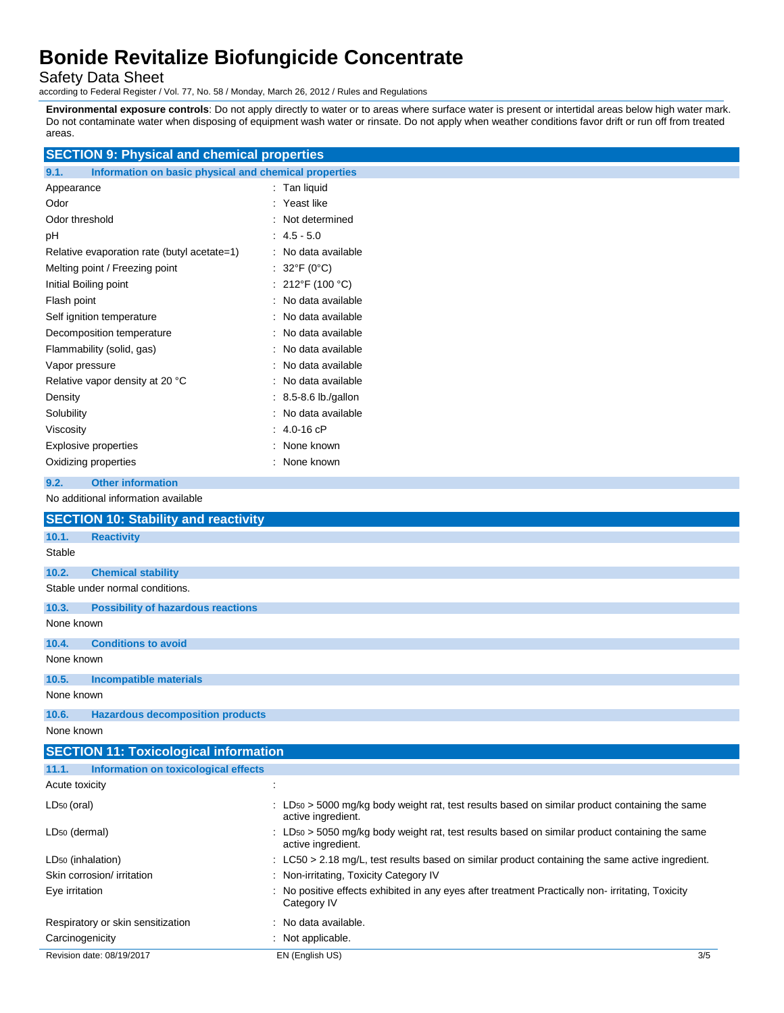Safety Data Sheet

according to Federal Register / Vol. 77, No. 58 / Monday, March 26, 2012 / Rules and Regulations

**Environmental exposure controls**: Do not apply directly to water or to areas where surface water is present or intertidal areas below high water mark. Do not contaminate water when disposing of equipment wash water or rinsate. Do not apply when weather conditions favor drift or run off from treated areas.

| <b>SECTION 9: Physical and chemical properties</b>            |                                                                                                                                             |  |
|---------------------------------------------------------------|---------------------------------------------------------------------------------------------------------------------------------------------|--|
| Information on basic physical and chemical properties<br>9.1. |                                                                                                                                             |  |
| Appearance                                                    | : Tan liquid                                                                                                                                |  |
| Odor                                                          | : Yeast like                                                                                                                                |  |
| Odor threshold                                                | : Not determined                                                                                                                            |  |
| рH                                                            | $: 4.5 - 5.0$                                                                                                                               |  |
| Relative evaporation rate (butyl acetate=1)                   | : No data available                                                                                                                         |  |
| Melting point / Freezing point                                | : $32^{\circ}F(0^{\circ}C)$                                                                                                                 |  |
| Initial Boiling point                                         | : 212°F (100 °C)                                                                                                                            |  |
| Flash point                                                   | : No data available                                                                                                                         |  |
| Self ignition temperature                                     | No data available                                                                                                                           |  |
| Decomposition temperature                                     | No data available                                                                                                                           |  |
| Flammability (solid, gas)                                     | No data available                                                                                                                           |  |
| Vapor pressure                                                | No data available                                                                                                                           |  |
| Relative vapor density at 20 °C                               | : No data available                                                                                                                         |  |
| Density                                                       | $: 8.5 - 8.6$ lb./gallon                                                                                                                    |  |
| Solubility                                                    | : No data available                                                                                                                         |  |
| Viscosity                                                     | $: 4.0 - 16$ cP                                                                                                                             |  |
| <b>Explosive properties</b>                                   | : None known                                                                                                                                |  |
| Oxidizing properties                                          | : None known                                                                                                                                |  |
| <b>Other information</b><br>9.2.                              |                                                                                                                                             |  |
| No additional information available                           |                                                                                                                                             |  |
| <b>SECTION 10: Stability and reactivity</b>                   |                                                                                                                                             |  |
| 10.1.<br><b>Reactivity</b>                                    |                                                                                                                                             |  |
| Stable                                                        |                                                                                                                                             |  |
| 10.2.<br><b>Chemical stability</b>                            |                                                                                                                                             |  |
| Stable under normal conditions.                               |                                                                                                                                             |  |
| <b>Possibility of hazardous reactions</b><br>10.3.            |                                                                                                                                             |  |
| None known                                                    |                                                                                                                                             |  |
| <b>Conditions to avoid</b><br>10.4.                           |                                                                                                                                             |  |
| None known                                                    |                                                                                                                                             |  |
| 10.5.<br><b>Incompatible materials</b>                        |                                                                                                                                             |  |
| None known                                                    |                                                                                                                                             |  |
| 10.6<br><b>Hazardous decomposition products</b>               |                                                                                                                                             |  |
| None known                                                    |                                                                                                                                             |  |
| <b>SECTION 11: Toxicological information</b>                  |                                                                                                                                             |  |
| 11.1.<br>Information on toxicological effects                 |                                                                                                                                             |  |
| Acute toxicity                                                | Ì,                                                                                                                                          |  |
| $LD_{50}$ (oral)                                              | $\therefore$ LD <sub>50</sub> > 5000 mg/kg body weight rat, test results based on similar product containing the same<br>active ingredient. |  |
| LD <sub>50</sub> (dermal)                                     | : LD50 > 5050 mg/kg body weight rat, test results based on similar product containing the same<br>active ingredient.                        |  |
| LD <sub>50</sub> (inhalation)                                 | $\pm$ LC50 > 2.18 mg/L, test results based on similar product containing the same active ingredient.                                        |  |
| Skin corrosion/ irritation                                    | : Non-irritating, Toxicity Category IV                                                                                                      |  |
| Eye irritation                                                | : No positive effects exhibited in any eyes after treatment Practically non-irritating, Toxicity<br>Category IV                             |  |
| Respiratory or skin sensitization                             | : No data available.                                                                                                                        |  |
| Carcinogenicity                                               | : Not applicable.                                                                                                                           |  |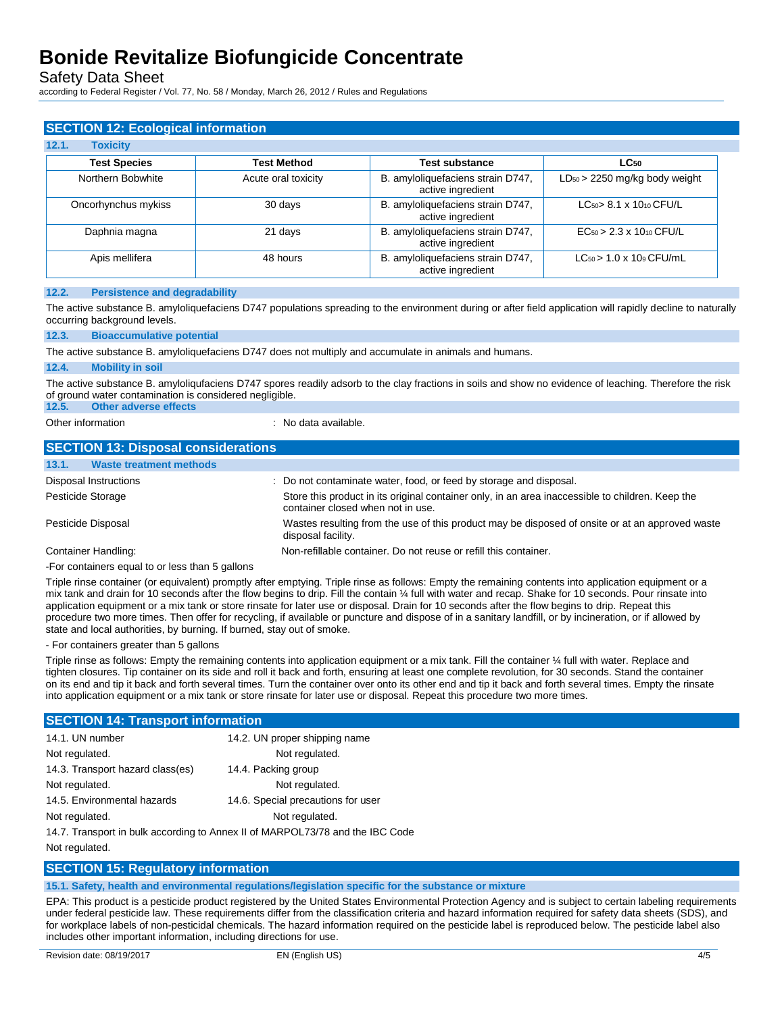Safety Data Sheet

according to Federal Register / Vol. 77, No. 58 / Monday, March 26, 2012 / Rules and Regulations

| <b>SECTION 12: Ecological information</b> |                     |                                                        |                                      |
|-------------------------------------------|---------------------|--------------------------------------------------------|--------------------------------------|
| 12.1.<br><b>Toxicity</b>                  |                     |                                                        |                                      |
| <b>Test Species</b>                       | <b>Test Method</b>  | <b>Test substance</b>                                  | $LC_{50}$                            |
| Northern Bobwhite                         | Acute oral toxicity | B. amyloliquefaciens strain D747,<br>active ingredient | $LD_{50}$ > 2250 mg/kg body weight   |
| Oncorhynchus mykiss                       | 30 days             | B. amyloliquefaciens strain D747,<br>active ingredient | $LC_{50}$ 8.1 x 1010 CFU/L           |
| Daphnia magna                             | 21 days             | B. amyloliquefaciens strain D747,<br>active ingredient | $EC_{50} > 2.3 \times 10_{10}$ CFU/L |
| Apis mellifera                            | 48 hours            | B. amyloliquefaciens strain D747,<br>active ingredient | $LC_{50}$ > 1.0 x 109 CFU/mL         |

#### **12.2. Persistence and degradability**

The active substance B. amyloliquefaciens D747 populations spreading to the environment during or after field application will rapidly decline to naturally occurring background levels.

#### **12.3. Bioaccumulative potential**

The active substance B. amyloliquefaciens D747 does not multiply and accumulate in animals and humans.

#### **12.4. Mobility in soil**

The active substance B. amyloliqufaciens D747 spores readily adsorb to the clay fractions in soils and show no evidence of leaching. Therefore the risk of ground water contamination is considered negligible.

#### **12.5. Other adverse effects**

Other information **interest in the contract of the Contract Contract Contract Contract Contract Contract Contract Contract Contract Contract Contract Contract Contract Contract Contract Contract Contract Contract Contract** 

| <b>SECTION 13: Disposal considerations</b>      |                                                                                                                                       |
|-------------------------------------------------|---------------------------------------------------------------------------------------------------------------------------------------|
| 13.1.<br><b>Waste treatment methods</b>         |                                                                                                                                       |
| Disposal Instructions                           | : Do not contaminate water, food, or feed by storage and disposal.                                                                    |
| Pesticide Storage                               | Store this product in its original container only, in an area inaccessible to children. Keep the<br>container closed when not in use. |
| Pesticide Disposal                              | Wastes resulting from the use of this product may be disposed of onsite or at an approved waste<br>disposal facility.                 |
| Container Handling:                             | Non-refillable container. Do not reuse or refill this container.                                                                      |
| -For containers equal to or less than 5 gallons |                                                                                                                                       |

Triple rinse container (or equivalent) promptly after emptying. Triple rinse as follows: Empty the remaining contents into application equipment or a mix tank and drain for 10 seconds after the flow begins to drip. Fill the contain ¼ full with water and recap. Shake for 10 seconds. Pour rinsate into application equipment or a mix tank or store rinsate for later use or disposal. Drain for 10 seconds after the flow begins to drip. Repeat this procedure two more times. Then offer for recycling, if available or puncture and dispose of in a sanitary landfill, or by incineration, or if allowed by state and local authorities, by burning. If burned, stay out of smoke.

#### - For containers greater than 5 gallons

Triple rinse as follows: Empty the remaining contents into application equipment or a mix tank. Fill the container 1/4 full with water. Replace and tighten closures. Tip container on its side and roll it back and forth, ensuring at least one complete revolution, for 30 seconds. Stand the container on its end and tip it back and forth several times. Turn the container over onto its other end and tip it back and forth several times. Empty the rinsate into application equipment or a mix tank or store rinsate for later use or disposal. Repeat this procedure two more times.

#### **SECTION 14: Transport information**

| 14.1. UN number                  | 14.2. UN proper shipping name                                              |
|----------------------------------|----------------------------------------------------------------------------|
| Not regulated.                   | Not regulated.                                                             |
| 14.3. Transport hazard class(es) | 14.4. Packing group                                                        |
| Not regulated.                   | Not regulated.                                                             |
| 14.5. Environmental hazards      | 14.6. Special precautions for user                                         |
| Not regulated.                   | Not regulated.                                                             |
|                                  | 14.7 Transport in bulk according to Anney II of MARROL 73/78 and the IRC ( |

14.7. Transport in bulk according to Annex II of MARPOL73/78 and the IBC Code Not regulated.

## **SECTION 15: Regulatory information**

**15.1. Safety, health and environmental regulations/legislation specific for the substance or mixture**

EPA: This product is a pesticide product registered by the United States Environmental Protection Agency and is subject to certain labeling requirements under federal pesticide law. These requirements differ from the classification criteria and hazard information required for safety data sheets (SDS), and for workplace labels of non-pesticidal chemicals. The hazard information required on the pesticide label is reproduced below. The pesticide label also includes other important information, including directions for use.